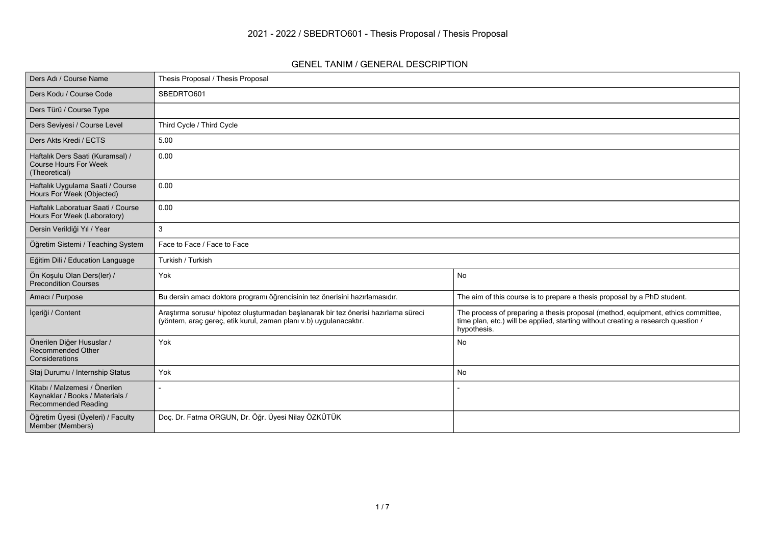#### **GENEL TANIM / GENERAL DESCRIPTION**

| Ders Adı / Course Name                                                                         | Thesis Proposal / Thesis Proposal                                                                                                                       |                                                                                                                                                                                      |
|------------------------------------------------------------------------------------------------|---------------------------------------------------------------------------------------------------------------------------------------------------------|--------------------------------------------------------------------------------------------------------------------------------------------------------------------------------------|
| Ders Kodu / Course Code                                                                        | SBEDRTO601                                                                                                                                              |                                                                                                                                                                                      |
| Ders Türü / Course Type                                                                        |                                                                                                                                                         |                                                                                                                                                                                      |
| Ders Seviyesi / Course Level                                                                   | Third Cycle / Third Cycle                                                                                                                               |                                                                                                                                                                                      |
| Ders Akts Kredi / ECTS                                                                         | 5.00                                                                                                                                                    |                                                                                                                                                                                      |
| Haftalık Ders Saati (Kuramsal) /<br>Course Hours For Week<br>(Theoretical)                     | 0.00                                                                                                                                                    |                                                                                                                                                                                      |
| Haftalık Uygulama Saati / Course<br>Hours For Week (Objected)                                  | 0.00                                                                                                                                                    |                                                                                                                                                                                      |
| Haftalık Laboratuar Saati / Course<br>Hours For Week (Laboratory)                              | 0.00                                                                                                                                                    |                                                                                                                                                                                      |
| Dersin Verildiği Yıl / Year                                                                    | $\mathbf{3}$                                                                                                                                            |                                                                                                                                                                                      |
| Öğretim Sistemi / Teaching System                                                              | Face to Face / Face to Face                                                                                                                             |                                                                                                                                                                                      |
| Eğitim Dili / Education Language                                                               | Turkish / Turkish                                                                                                                                       |                                                                                                                                                                                      |
| Ön Koşulu Olan Ders(ler) /<br><b>Precondition Courses</b>                                      | Yok                                                                                                                                                     | <b>No</b>                                                                                                                                                                            |
| Amacı / Purpose                                                                                | Bu dersin amacı doktora programı öğrencisinin tez önerisini hazırlamasıdır.                                                                             | The aim of this course is to prepare a thesis proposal by a PhD student.                                                                                                             |
| İçeriği / Content                                                                              | Araştırma sorusu/ hipotez oluşturmadan başlanarak bir tez önerisi hazırlama süreci<br>(yöntem, araç gereç, etik kurul, zaman planı v.b) uygulanacaktır. | The process of preparing a thesis proposal (method, equipment, ethics committee,<br>time plan, etc.) will be applied, starting without creating a research question /<br>hypothesis. |
| Önerilen Diğer Hususlar /<br>Recommended Other<br>Considerations                               | Yok                                                                                                                                                     | <b>No</b>                                                                                                                                                                            |
| Staj Durumu / Internship Status                                                                | Yok                                                                                                                                                     | No                                                                                                                                                                                   |
| Kitabı / Malzemesi / Önerilen<br>Kaynaklar / Books / Materials /<br><b>Recommended Reading</b> |                                                                                                                                                         |                                                                                                                                                                                      |
| Öğretim Üyesi (Üyeleri) / Faculty<br>Member (Members)                                          | Doç. Dr. Fatma ORGUN, Dr. Öğr. Üyesi Nilay ÖZKÜTÜK                                                                                                      |                                                                                                                                                                                      |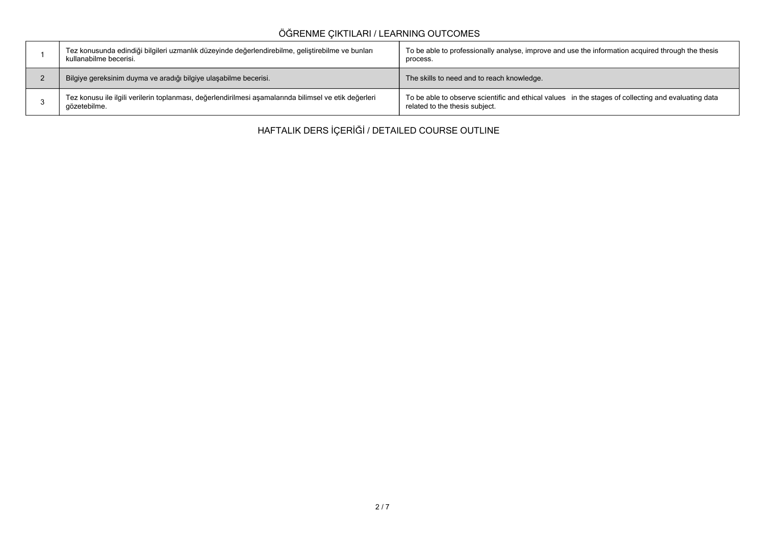## **ÖĞRENME ÇIKTILARI / LEARNING OUTCOMES**

| Tez konusunda edindiği bilgileri uzmanlık düzeyinde değerlendirebilme, geliştirebilme ve bunları<br>kullanabilme becerisi. | To be able to professionally analyse, improve and use the information acquired through the thesis<br>process.                         |
|----------------------------------------------------------------------------------------------------------------------------|---------------------------------------------------------------------------------------------------------------------------------------|
| Bilgiye gereksinim duyma ve aradığı bilgiye ulaşabilme becerisi.                                                           | The skills to need and to reach knowledge.                                                                                            |
| Tez konusu ile ilgili verilerin toplanması, değerlendirilmesi aşamalarında bilimsel ve etik değerleri<br>gözetebilme.      | To be able to observe scientific and ethical values in the stages of collecting and evaluating data<br>related to the thesis subject. |

**HAFTALIK DERS İÇERİĞİ / DETAILED COURSE OUTLINE**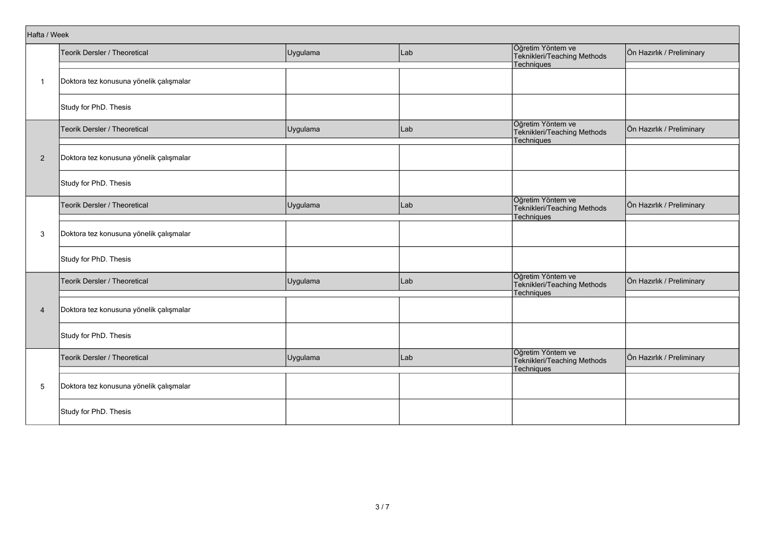| Hafta / Week   |                                         |          |     |                                                                       |                           |
|----------------|-----------------------------------------|----------|-----|-----------------------------------------------------------------------|---------------------------|
|                | Teorik Dersler / Theoretical            | Uygulama | Lab | Öğretim Yöntem ve<br>Teknikleri/Teaching Methods                      | Ön Hazırlık / Preliminary |
|                |                                         |          |     | Techniques                                                            |                           |
| $\mathbf{1}$   | Doktora tez konusuna yönelik çalışmalar |          |     |                                                                       |                           |
|                | Study for PhD. Thesis                   |          |     |                                                                       |                           |
|                | Teorik Dersler / Theoretical            | Uygulama | Lab | Öğretim Yöntem ve<br>Teknikleri/Teaching Methods<br>Techniques        | Ön Hazırlık / Preliminary |
|                |                                         |          |     |                                                                       |                           |
| $\overline{2}$ | Doktora tez konusuna yönelik çalışmalar |          |     |                                                                       |                           |
|                | Study for PhD. Thesis                   |          |     |                                                                       |                           |
|                | Teorik Dersler / Theoretical            | Uygulama | Lab | Öğretim Yöntem ve<br>Teknikleri/Teaching Methods<br>Techniques        | Ön Hazırlık / Preliminary |
|                |                                         |          |     |                                                                       |                           |
| 3              | Doktora tez konusuna yönelik çalışmalar |          |     |                                                                       |                           |
|                | Study for PhD. Thesis                   |          |     |                                                                       |                           |
|                | <b>Teorik Dersler / Theoretical</b>     | Uygulama | Lab | Öğretim Yöntem ve<br>Teknikleri/Teaching Methods<br><b>Techniques</b> | Ön Hazırlık / Preliminary |
|                |                                         |          |     |                                                                       |                           |
| $\overline{4}$ | Doktora tez konusuna yönelik çalışmalar |          |     |                                                                       |                           |
|                | Study for PhD. Thesis                   |          |     |                                                                       |                           |
|                | Teorik Dersler / Theoretical            | Uygulama | Lab | Öğretim Yöntem ve<br>Teknikleri/Teaching Methods<br>Techniques        | Ön Hazırlık / Preliminary |
|                |                                         |          |     |                                                                       |                           |
| 5              | Doktora tez konusuna yönelik çalışmalar |          |     |                                                                       |                           |
|                | Study for PhD. Thesis                   |          |     |                                                                       |                           |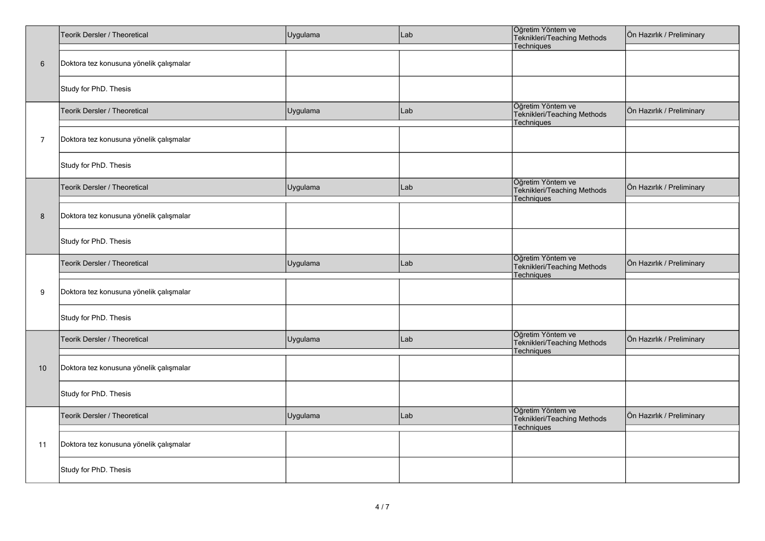|                | Teorik Dersler / Theoretical            | Uygulama | Lab | Öğretim Yöntem ve<br>Teknikleri/Teaching Methods<br>Techniques | Ön Hazırlık / Preliminary |
|----------------|-----------------------------------------|----------|-----|----------------------------------------------------------------|---------------------------|
| $\,6\,$        | Doktora tez konusuna yönelik çalışmalar |          |     |                                                                |                           |
|                | Study for PhD. Thesis                   |          |     |                                                                |                           |
|                | Teorik Dersler / Theoretical            | Uygulama | Lab | Öğretim Yöntem ve<br>Teknikleri/Teaching Methods<br>Techniques | Ön Hazırlık / Preliminary |
| $\overline{7}$ | Doktora tez konusuna yönelik çalışmalar |          |     |                                                                |                           |
|                | Study for PhD. Thesis                   |          |     |                                                                |                           |
|                | Teorik Dersler / Theoretical            | Uygulama | Lab | Öğretim Yöntem ve<br>Teknikleri/Teaching Methods<br>Techniques | Ön Hazırlık / Preliminary |
| 8              | Doktora tez konusuna yönelik çalışmalar |          |     |                                                                |                           |
|                | Study for PhD. Thesis                   |          |     |                                                                |                           |
|                | Teorik Dersler / Theoretical            | Uygulama | Lab | Öğretim Yöntem ve<br>Teknikleri/Teaching Methods<br>Techniques | Ön Hazırlık / Preliminary |
| 9              | Doktora tez konusuna yönelik çalışmalar |          |     |                                                                |                           |
|                | Study for PhD. Thesis                   |          |     |                                                                |                           |
|                | Teorik Dersler / Theoretical            | Uygulama | Lab | Öğretim Yöntem ve<br>Teknikleri/Teaching Methods<br>Techniques | Ön Hazırlık / Preliminary |
| 10             | Doktora tez konusuna yönelik çalışmalar |          |     |                                                                |                           |
|                | Study for PhD. Thesis                   |          |     |                                                                |                           |
|                | Teorik Dersler / Theoretical            | Uygulama | Lab | Öğretim Yöntem ve<br>Teknikleri/Teaching Methods<br>Techniques | Ön Hazırlık / Preliminary |
| 11             | Doktora tez konusuna yönelik çalışmalar |          |     |                                                                |                           |
|                | Study for PhD. Thesis                   |          |     |                                                                |                           |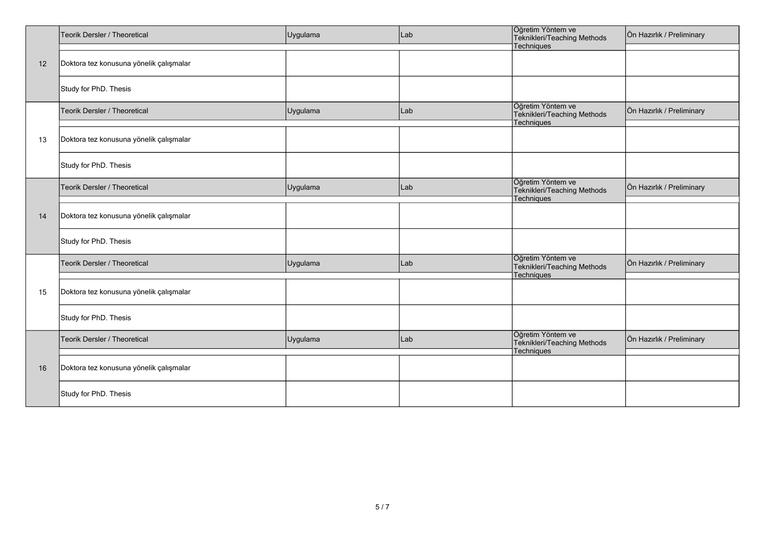|    | Teorik Dersler / Theoretical            | Uygulama | Lab | Öğretim Yöntem ve<br>Teknikleri/Teaching Methods                      | Ön Hazırlık / Preliminary |
|----|-----------------------------------------|----------|-----|-----------------------------------------------------------------------|---------------------------|
|    |                                         |          |     | Techniques                                                            |                           |
| 12 | Doktora tez konusuna yönelik çalışmalar |          |     |                                                                       |                           |
|    | Study for PhD. Thesis                   |          |     |                                                                       |                           |
|    | Teorik Dersler / Theoretical            | Uygulama | Lab | Öğretim Yöntem ve<br>Teknikleri/Teaching Methods<br>Techniques        | Ön Hazırlık / Preliminary |
| 13 | Doktora tez konusuna yönelik çalışmalar |          |     |                                                                       |                           |
|    | Study for PhD. Thesis                   |          |     |                                                                       |                           |
|    | Teorik Dersler / Theoretical            | Uygulama | Lab | Öğretim Yöntem ve<br>Teknikleri/Teaching Methods<br><b>Techniques</b> | Ön Hazırlık / Preliminary |
| 14 | Doktora tez konusuna yönelik çalışmalar |          |     |                                                                       |                           |
|    | Study for PhD. Thesis                   |          |     |                                                                       |                           |
|    | Teorik Dersler / Theoretical            | Uygulama | Lab | Öğretim Yöntem ve<br>Teknikleri/Teaching Methods<br>Techniques        | Ön Hazırlık / Preliminary |
| 15 | Doktora tez konusuna yönelik çalışmalar |          |     |                                                                       |                           |
|    | Study for PhD. Thesis                   |          |     |                                                                       |                           |
|    | Teorik Dersler / Theoretical            | Uygulama | Lab | Öğretim Yöntem ve<br>Teknikleri/Teaching Methods<br>Techniques        | Ön Hazırlık / Preliminary |
| 16 | Doktora tez konusuna yönelik çalışmalar |          |     |                                                                       |                           |
|    | Study for PhD. Thesis                   |          |     |                                                                       |                           |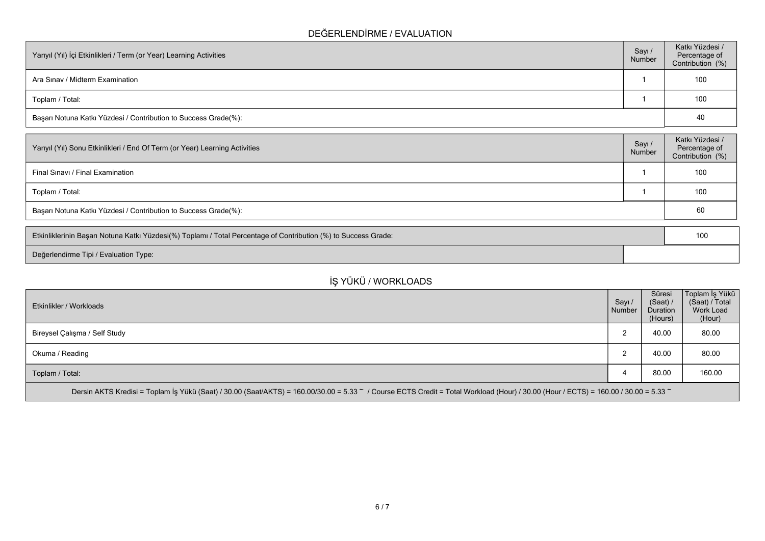#### **DEĞERLENDİRME / EVALUATION**

| Yarıyıl (Yıl) İçi Etkinlikleri / Term (or Year) Learning Activities | Sayı /<br>Number | Katkı Yüzdesi /<br>Percentage of<br>Contribution (%) |
|---------------------------------------------------------------------|------------------|------------------------------------------------------|
| Ara Sinav / Midterm Examination                                     |                  | 100                                                  |
| Toplam / Total:                                                     |                  | 100                                                  |
| Başarı Notuna Katkı Yüzdesi / Contribution to Success Grade(%):     |                  | 40                                                   |

| Yarıyıl (Yıl) Sonu Etkinlikleri / End Of Term (or Year) Learning Activities | Sayı/<br>Number | Katkı Yüzdesi /<br>Percentage of<br>Contribution (%) |  |  |  |  |
|-----------------------------------------------------------------------------|-----------------|------------------------------------------------------|--|--|--|--|
| Final Sinavi / Final Examination                                            |                 | 100                                                  |  |  |  |  |
| Toplam / Total:                                                             |                 | 100                                                  |  |  |  |  |
| Başarı Notuna Katkı Yüzdesi / Contribution to Success Grade(%):             |                 |                                                      |  |  |  |  |

| Etkinliklerinin Başarı Notuna Katkı Yüzdesi(%) Toplamı / Total Percentage of Contribution (%) to Success Grade: |  |  |  |
|-----------------------------------------------------------------------------------------------------------------|--|--|--|
| <b>Değerlendirme Tipi / Evaluation Type:</b>                                                                    |  |  |  |

# **İŞ YÜKÜ / WORKLOADS**

| Etkinlikler / Workloads                                                                                                                                                              | Sayı/<br>Number | Süresi<br>$(Saat)$ /<br><b>Duration</b><br>(Hours) | Toplam İş Yükü<br>(Saat) / Total<br>Work Load<br>(Hour) |
|--------------------------------------------------------------------------------------------------------------------------------------------------------------------------------------|-----------------|----------------------------------------------------|---------------------------------------------------------|
| Bireysel Çalışma / Self Study                                                                                                                                                        | ົ<br>▵          | 40.00                                              | 80.00                                                   |
| Okuma / Reading                                                                                                                                                                      | $\sim$          | 40.00                                              | 80.00                                                   |
| Toplam / Total:                                                                                                                                                                      | 4               | 80.00                                              | 160.00                                                  |
| Dersin AKTS Kredisi = Toplam İş Yükü (Saat) / 30.00 (Saat/AKTS) = 160.00/30.00 = 5.33 ~ / Course ECTS Credit = Total Workload (Hour) / 30.00 (Hour / ECTS) = 160.00 / 30.00 = 5.33 ~ |                 |                                                    |                                                         |